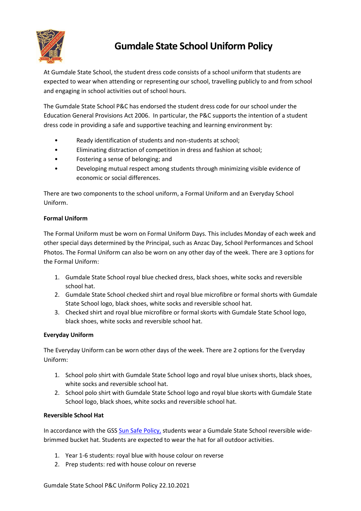

# **Gumdale State School Uniform Policy**

At Gumdale State School, the student dress code consists of a school uniform that students are expected to wear when attending or representing our school, travelling publicly to and from school and engaging in school activities out of school hours.

The Gumdale State School P&C has endorsed the student dress code for our school under the Education General Provisions Act 2006. In particular, the P&C supports the intention of a student dress code in providing a safe and supportive teaching and learning environment by:

- Ready identification of students and non-students at school;
- Eliminating distraction of competition in dress and fashion at school;
- Fostering a sense of belonging; and
- Developing mutual respect among students through minimizing visible evidence of economic or social differences.

There are two components to the school uniform, a Formal Uniform and an Everyday School Uniform.

# **Formal Uniform**

The Formal Uniform must be worn on Formal Uniform Days. This includes Monday of each week and other special days determined by the Principal, such as Anzac Day, School Performances and School Photos. The Formal Uniform can also be worn on any other day of the week. There are 3 options for the Formal Uniform:

- 1. Gumdale State School royal blue checked dress, black shoes, white socks and reversible school hat.
- 2. Gumdale State School checked shirt and royal blue microfibre or formal shorts with Gumdale State School logo, black shoes, white socks and reversible school hat.
- 3. Checked shirt and royal blue microfibre or formal skorts with Gumdale State School logo, black shoes, white socks and reversible school hat.

# **Everyday Uniform**

The Everyday Uniform can be worn other days of the week. There are 2 options for the Everyday Uniform:

- 1. School polo shirt with Gumdale State School logo and royal blue unisex shorts, black shoes, white socks and reversible school hat.
- 2. School polo shirt with Gumdale State School logo and royal blue skorts with Gumdale State School logo, black shoes, white socks and reversible school hat.

# **Reversible School Hat**

In accordance with the GSS [Sun Safe Policy,](https://gumdaless.eq.edu.au/supportandresources/formsanddocuments/documents/policies/gss-sun-safety-policy.pdf) students wear a Gumdale State School reversible widebrimmed bucket hat. Students are expected to wear the hat for all outdoor activities.

- 1. Year 1-6 students: royal blue with house colour on reverse
- 2. Prep students: red with house colour on reverse

Gumdale State School P&C Uniform Policy 22.10.2021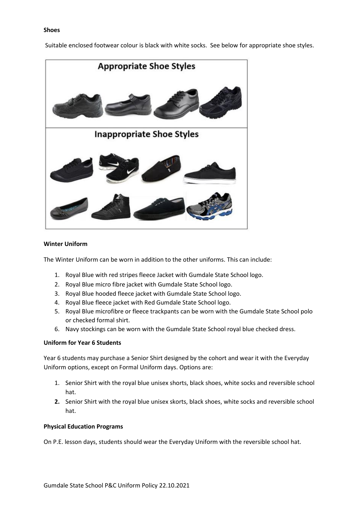## **Shoes**

Suitable enclosed footwear colour is black with white socks. See below for appropriate shoe styles.



### **Winter Uniform**

The Winter Uniform can be worn in addition to the other uniforms. This can include:

- 1. Royal Blue with red stripes fleece Jacket with Gumdale State School logo.
- 2. Royal Blue micro fibre jacket with Gumdale State School logo.
- 3. Royal Blue hooded fleece jacket with Gumdale State School logo.
- 4. Royal Blue fleece jacket with Red Gumdale State School logo.
- 5. Royal Blue microfibre or fleece trackpants can be worn with the Gumdale State School polo or checked formal shirt.
- 6. Navy stockings can be worn with the Gumdale State School royal blue checked dress.

# **Uniform for Year 6 Students**

Year 6 students may purchase a Senior Shirt designed by the cohort and wear it with the Everyday Uniform options, except on Formal Uniform days. Options are:

- 1. Senior Shirt with the royal blue unisex shorts, black shoes, white socks and reversible school hat.
- **2.** Senior Shirt with the royal blue unisex skorts, black shoes, white socks and reversible school hat.

## **Physical Education Programs**

On P.E. lesson days, students should wear the Everyday Uniform with the reversible school hat.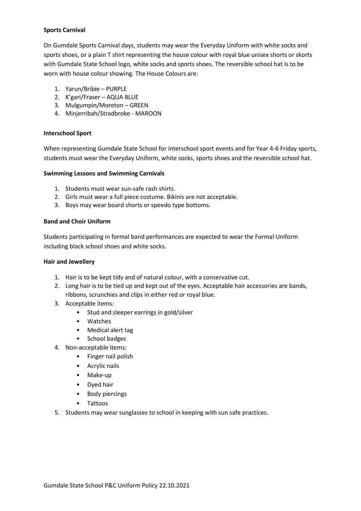# **Sports Carnival**

On Gumdale Sports Carnival days, students may wear the Everyday Uniform with white socks and sports shoes, or a plain T shirt representing the house colour with royal blue unisex shorts or skorts with Gumdale State School logo, white socks and sports shoes. The reversible school hat is to be worn with house colour showing. The House Colours are:

- 1. Yarun/Bribie PURPLE
- 2. K'gari/Fraser AQUA BLUE
- 3. Mulgumpin/Moreton GREEN
- 4. Minjerribah/Stradbroke MAROON

## **Interschool Sport**

When representing Gumdale State School for interschool sport events and for Year 4-6 Friday sports, students must wear the Everyday Uniform, white socks, sports shoes and the reversible school hat.

#### **Swimming Lessons and Swimming Carnivals**

- 1. Students must wear sun-safe rash shirts.
- 2. Girls must wear a full piece costume. Bikinis are not acceptable.
- 3. Boys may wear board shorts or speedo type bottoms.

## **Band and Choir Uniform**

Students participating in formal band performances are expected to wear the Formal Uniform including black school shoes and white socks.

#### **Hair and Jewellery**

- 1. Hair is to be kept tidy and of natural colour, with a conservative cut.
- 2. Long hair is to be tied up and kept out of the eyes. Acceptable hair accessories are bands, ribbons, scrunchies and clips in either red or royal blue.
- 3. Acceptable items:
	- Stud and sleeper earrings in gold/silver
	- Watches
	- Medical alert tag
	- School badges
- 4. Non-acceptable items:
	- Finger nail polish
	- Acrylic nails
	- Make-up
	- Dyed hair
	- Body piercings
	- Tattoos
- 5. Students may wear sunglasses to school in keeping with sun safe practices.